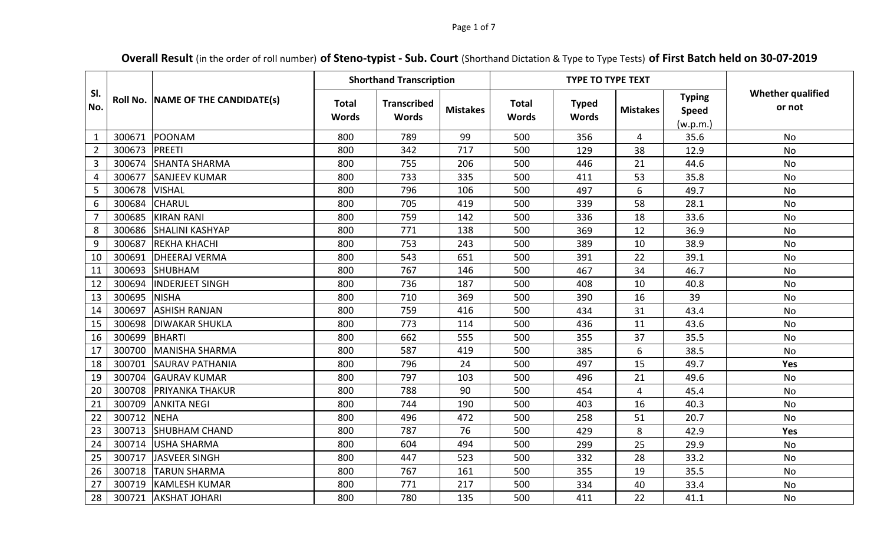## Page 1 of 7

## **Overall Result** (in the order of roll number) **of Steno-typist - Sub. Court** (Shorthand Dictation & Type to Type Tests) **of First Batch held on 30-07-2019**

|                |        |                                   | <b>Shorthand Transcription</b> |                                    |                 |                              | <b>TYPE TO TYPE TEXT</b>     |                 |                                           |                                    |
|----------------|--------|-----------------------------------|--------------------------------|------------------------------------|-----------------|------------------------------|------------------------------|-----------------|-------------------------------------------|------------------------------------|
| SI.<br>No.     |        | Roll No. NAME OF THE CANDIDATE(s) | <b>Total</b><br><b>Words</b>   | <b>Transcribed</b><br><b>Words</b> | <b>Mistakes</b> | <b>Total</b><br><b>Words</b> | <b>Typed</b><br><b>Words</b> | <b>Mistakes</b> | <b>Typing</b><br><b>Speed</b><br>(w.p.m.) | <b>Whether qualified</b><br>or not |
| $\mathbf{1}$   | 300671 | POONAM                            | 800                            | 789                                | 99              | 500                          | 356                          | 4               | 35.6                                      | <b>No</b>                          |
| $\overline{2}$ | 300673 | PREETI                            | 800                            | 342                                | 717             | 500                          | 129                          | 38              | 12.9                                      | No                                 |
| 3              | 300674 | <b>SHANTA SHARMA</b>              | 800                            | 755                                | 206             | 500                          | 446                          | 21              | 44.6                                      | <b>No</b>                          |
| 4              | 300677 | <b>SANJEEV KUMAR</b>              | 800                            | 733                                | 335             | 500                          | 411                          | 53              | 35.8                                      | No                                 |
| 5              | 300678 | <b>VISHAL</b>                     | 800                            | 796                                | 106             | 500                          | 497                          | 6               | 49.7                                      | <b>No</b>                          |
| 6              | 300684 | <b>CHARUL</b>                     | 800                            | 705                                | 419             | 500                          | 339                          | 58              | 28.1                                      | <b>No</b>                          |
| 7              | 300685 | <b>KIRAN RANI</b>                 | 800                            | 759                                | 142             | 500                          | 336                          | 18              | 33.6                                      | <b>No</b>                          |
| 8              | 300686 | <b>SHALINI KASHYAP</b>            | 800                            | 771                                | 138             | 500                          | 369                          | 12              | 36.9                                      | <b>No</b>                          |
| 9              | 300687 | <b>REKHA KHACHI</b>               | 800                            | 753                                | 243             | 500                          | 389                          | 10              | 38.9                                      | <b>No</b>                          |
| 10             | 300691 | <b>DHEERAJ VERMA</b>              | 800                            | 543                                | 651             | 500                          | 391                          | 22              | 39.1                                      | No                                 |
| 11             | 300693 | <b>SHUBHAM</b>                    | 800                            | 767                                | 146             | 500                          | 467                          | 34              | 46.7                                      | <b>No</b>                          |
| 12             | 300694 | <b>INDERJEET SINGH</b>            | 800                            | 736                                | 187             | 500                          | 408                          | 10              | 40.8                                      | <b>No</b>                          |
| 13             | 300695 | <b>NISHA</b>                      | 800                            | 710                                | 369             | 500                          | 390                          | 16              | 39                                        | <b>No</b>                          |
| 14             | 300697 | <b>ASHISH RANJAN</b>              | 800                            | 759                                | 416             | 500                          | 434                          | 31              | 43.4                                      | <b>No</b>                          |
| 15             | 300698 | <b>DIWAKAR SHUKLA</b>             | 800                            | 773                                | 114             | 500                          | 436                          | 11              | 43.6                                      | <b>No</b>                          |
| 16             | 300699 | BHARTI                            | 800                            | 662                                | 555             | 500                          | 355                          | 37              | 35.5                                      | <b>No</b>                          |
| 17             | 300700 | MANISHA SHARMA                    | 800                            | 587                                | 419             | 500                          | 385                          | 6               | 38.5                                      | No                                 |
| 18             | 300701 | <b>SAURAV PATHANIA</b>            | 800                            | 796                                | 24              | 500                          | 497                          | 15              | 49.7                                      | Yes                                |
| 19             | 300704 | <b>GAURAV KUMAR</b>               | 800                            | 797                                | 103             | 500                          | 496                          | 21              | 49.6                                      | <b>No</b>                          |
| 20             | 300708 | <b>PRIYANKA THAKUR</b>            | 800                            | 788                                | 90              | 500                          | 454                          | 4               | 45.4                                      | No                                 |
| 21             | 300709 | <b>ANKITA NEGI</b>                | 800                            | 744                                | 190             | 500                          | 403                          | 16              | 40.3                                      | <b>No</b>                          |
| 22             | 300712 | <b>NEHA</b>                       | 800                            | 496                                | 472             | 500                          | 258                          | 51              | 20.7                                      | <b>No</b>                          |
| 23             | 300713 | <b>SHUBHAM CHAND</b>              | 800                            | 787                                | 76              | 500                          | 429                          | 8               | 42.9                                      | Yes                                |
| 24             | 300714 | <b>USHA SHARMA</b>                | 800                            | 604                                | 494             | 500                          | 299                          | 25              | 29.9                                      | No                                 |
| 25             | 300717 | JASVEER SINGH                     | 800                            | 447                                | 523             | 500                          | 332                          | 28              | 33.2                                      | No                                 |
| 26             | 300718 | <b>TARUN SHARMA</b>               | 800                            | 767                                | 161             | 500                          | 355                          | 19              | 35.5                                      | <b>No</b>                          |
| 27             | 300719 | <b>KAMLESH KUMAR</b>              | 800                            | 771                                | 217             | 500                          | 334                          | 40              | 33.4                                      | <b>No</b>                          |
| 28             | 300721 | <b>AKSHAT JOHARI</b>              | 800                            | 780                                | 135             | 500                          | 411                          | 22              | 41.1                                      | <b>No</b>                          |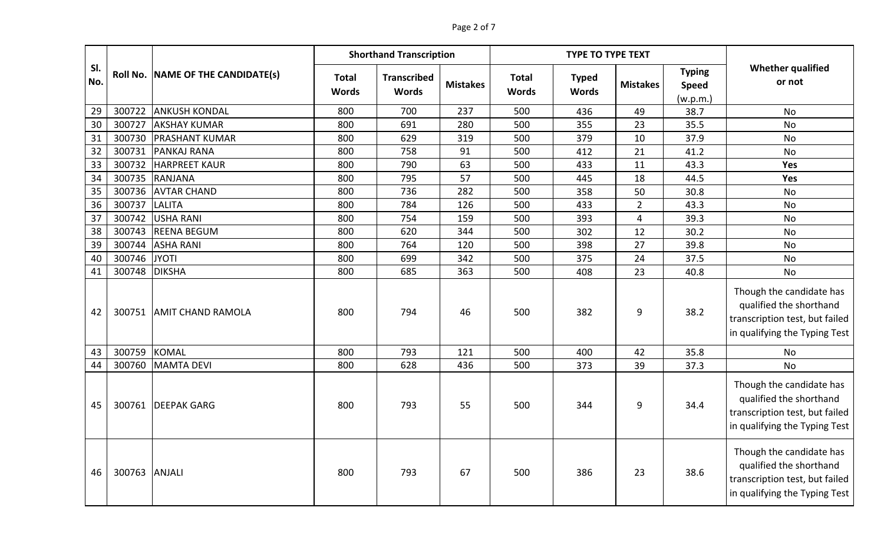|            |               |                                   |                              | <b>Shorthand Transcription</b>     |                 |                              | <b>TYPE TO TYPE TEXT</b>     |                 |                                           |                                                                                                                        |
|------------|---------------|-----------------------------------|------------------------------|------------------------------------|-----------------|------------------------------|------------------------------|-----------------|-------------------------------------------|------------------------------------------------------------------------------------------------------------------------|
| SI.<br>No. |               | Roll No. NAME OF THE CANDIDATE(s) | <b>Total</b><br><b>Words</b> | <b>Transcribed</b><br><b>Words</b> | <b>Mistakes</b> | <b>Total</b><br><b>Words</b> | <b>Typed</b><br><b>Words</b> | <b>Mistakes</b> | <b>Typing</b><br><b>Speed</b><br>(w.p.m.) | <b>Whether qualified</b><br>or not                                                                                     |
| 29         | 300722        | <b>ANKUSH KONDAL</b>              | 800                          | 700                                | 237             | 500                          | 436                          | 49              | 38.7                                      | <b>No</b>                                                                                                              |
| 30         | 300727        | <b>AKSHAY KUMAR</b>               | 800                          | 691                                | 280             | 500                          | 355                          | 23              | 35.5                                      | No                                                                                                                     |
| 31         |               | 300730 PRASHANT KUMAR             | 800                          | 629                                | 319             | 500                          | 379                          | 10              | 37.9                                      | No                                                                                                                     |
| 32         | 300731        | <b>PANKAJ RANA</b>                | 800                          | 758                                | 91              | 500                          | 412                          | 21              | 41.2                                      | No                                                                                                                     |
| 33         | 300732        | <b>HARPREET KAUR</b>              | 800                          | 790                                | 63              | 500                          | 433                          | 11              | 43.3                                      | <b>Yes</b>                                                                                                             |
| 34         | 300735        | RANJANA                           | 800                          | 795                                | 57              | 500                          | 445                          | 18              | 44.5                                      | Yes                                                                                                                    |
| 35         | 300736        | <b>AVTAR CHAND</b>                | 800                          | 736                                | 282             | 500                          | 358                          | 50              | 30.8                                      | No                                                                                                                     |
| 36         | 300737        | <b>LALITA</b>                     | 800                          | 784                                | 126             | 500                          | 433                          | $\overline{2}$  | 43.3                                      | No                                                                                                                     |
| 37         | 300742        | USHA RANI                         | 800                          | 754                                | 159             | 500                          | 393                          | 4               | 39.3                                      | No                                                                                                                     |
| 38         | 300743        | <b>REENA BEGUM</b>                | 800                          | 620                                | 344             | 500                          | 302                          | 12              | 30.2                                      | No                                                                                                                     |
| 39         | 300744        | <b>ASHA RANI</b>                  | 800                          | 764                                | 120             | 500                          | 398                          | 27              | 39.8                                      | No                                                                                                                     |
| 40         | 300746        | <b>JYOTI</b>                      | 800                          | 699                                | 342             | 500                          | 375                          | 24              | 37.5                                      | No                                                                                                                     |
| 41         | 300748        | <b>DIKSHA</b>                     | 800                          | 685                                | 363             | 500                          | 408                          | 23              | 40.8                                      | No                                                                                                                     |
| 42         | 300751        | <b>AMIT CHAND RAMOLA</b>          | 800                          | 794                                | 46              | 500                          | 382                          | 9               | 38.2                                      | Though the candidate has<br>qualified the shorthand<br>transcription test, but failed<br>in qualifying the Typing Test |
| 43         | 300759        | <b>KOMAL</b>                      | 800                          | 793                                | 121             | 500                          | 400                          | 42              | 35.8                                      | No                                                                                                                     |
| 44         | 300760        | MAMTA DEVI                        | 800                          | 628                                | 436             | 500                          | 373                          | 39              | 37.3                                      | No                                                                                                                     |
| 45         | 300761        | <b>DEEPAK GARG</b>                | 800                          | 793                                | 55              | 500                          | 344                          | 9               | 34.4                                      | Though the candidate has<br>qualified the shorthand<br>transcription test, but failed<br>in qualifying the Typing Test |
| 46         | 300763 ANJALI |                                   | 800                          | 793                                | 67              | 500                          | 386                          | 23              | 38.6                                      | Though the candidate has<br>qualified the shorthand<br>transcription test, but failed<br>in qualifying the Typing Test |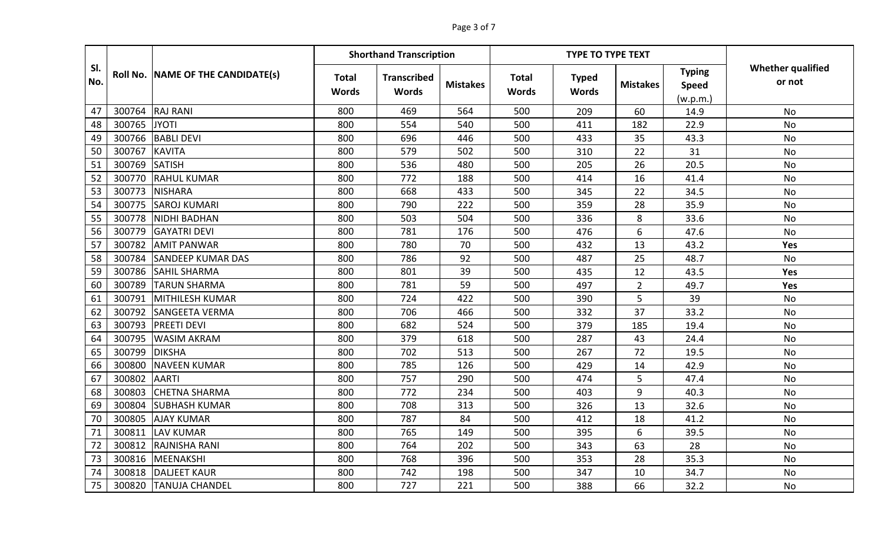|            |          |                          | <b>Shorthand Transcription</b> |                                    |                 |                              | <b>TYPE TO TYPE TEXT</b>     |                 |                                           |                                    |
|------------|----------|--------------------------|--------------------------------|------------------------------------|-----------------|------------------------------|------------------------------|-----------------|-------------------------------------------|------------------------------------|
| SI.<br>No. | Roll No. | NAME OF THE CANDIDATE(s) | <b>Total</b><br><b>Words</b>   | <b>Transcribed</b><br><b>Words</b> | <b>Mistakes</b> | <b>Total</b><br><b>Words</b> | <b>Typed</b><br><b>Words</b> | <b>Mistakes</b> | <b>Typing</b><br><b>Speed</b><br>(w.p.m.) | <b>Whether qualified</b><br>or not |
| 47         | 300764   | <b>RAJ RANI</b>          | 800                            | 469                                | 564             | 500                          | 209                          | 60              | 14.9                                      | <b>No</b>                          |
| 48         | 300765   | <b>JYOTI</b>             | 800                            | 554                                | 540             | 500                          | 411                          | 182             | 22.9                                      | No                                 |
| 49         | 300766   | <b>BABLI DEVI</b>        | 800                            | 696                                | 446             | 500                          | 433                          | 35              | 43.3                                      | <b>No</b>                          |
| 50         | 300767   | <b>KAVITA</b>            | 800                            | 579                                | 502             | 500                          | 310                          | 22              | 31                                        | <b>No</b>                          |
| 51         | 300769   | <b>SATISH</b>            | 800                            | 536                                | 480             | 500                          | 205                          | 26              | 20.5                                      | <b>No</b>                          |
| 52         | 300770   | <b>RAHUL KUMAR</b>       | 800                            | 772                                | 188             | 500                          | 414                          | 16              | 41.4                                      | No                                 |
| 53         | 300773   | <b>NISHARA</b>           | 800                            | 668                                | 433             | 500                          | 345                          | 22              | 34.5                                      | <b>No</b>                          |
| 54         | 300775   | <b>SAROJ KUMARI</b>      | 800                            | 790                                | 222             | 500                          | 359                          | 28              | 35.9                                      | <b>No</b>                          |
| 55         | 300778   | <b>NIDHI BADHAN</b>      | 800                            | 503                                | 504             | 500                          | 336                          | 8               | 33.6                                      | No                                 |
| 56         | 300779   | <b>GAYATRI DEVI</b>      | 800                            | 781                                | 176             | 500                          | 476                          | 6               | 47.6                                      | <b>No</b>                          |
| 57         | 300782   | <b>AMIT PANWAR</b>       | 800                            | 780                                | 70              | 500                          | 432                          | 13              | 43.2                                      | Yes                                |
| 58         | 300784   | <b>SANDEEP KUMAR DAS</b> | 800                            | 786                                | 92              | 500                          | 487                          | 25              | 48.7                                      | <b>No</b>                          |
| 59         | 300786   | <b>SAHIL SHARMA</b>      | 800                            | 801                                | 39              | 500                          | 435                          | 12              | 43.5                                      | Yes                                |
| 60         | 300789   | <b>TARUN SHARMA</b>      | 800                            | 781                                | 59              | 500                          | 497                          | $\overline{2}$  | 49.7                                      | Yes                                |
| 61         | 300791   | MITHILESH KUMAR          | 800                            | 724                                | 422             | 500                          | 390                          | 5               | 39                                        | No                                 |
| 62         | 300792   | SANGEETA VERMA           | 800                            | 706                                | 466             | 500                          | 332                          | 37              | 33.2                                      | No                                 |
| 63         | 300793   | <b>PREETI DEVI</b>       | 800                            | 682                                | 524             | 500                          | 379                          | 185             | 19.4                                      | No                                 |
| 64         | 300795   | <b>WASIM AKRAM</b>       | 800                            | 379                                | 618             | 500                          | 287                          | 43              | 24.4                                      | <b>No</b>                          |
| 65         | 300799   | <b>DIKSHA</b>            | 800                            | 702                                | 513             | 500                          | 267                          | 72              | 19.5                                      | No                                 |
| 66         | 300800   | <b>NAVEEN KUMAR</b>      | 800                            | 785                                | 126             | 500                          | 429                          | 14              | 42.9                                      | No                                 |
| 67         | 300802   | <b>AARTI</b>             | 800                            | 757                                | 290             | 500                          | 474                          | 5               | 47.4                                      | <b>No</b>                          |
| 68         | 300803   | <b>CHETNA SHARMA</b>     | 800                            | 772                                | 234             | 500                          | 403                          | 9               | 40.3                                      | <b>No</b>                          |
| 69         | 300804   | <b>SUBHASH KUMAR</b>     | 800                            | 708                                | 313             | 500                          | 326                          | 13              | 32.6                                      | No                                 |
| 70         | 300805   | <b>AJAY KUMAR</b>        | 800                            | 787                                | 84              | 500                          | 412                          | 18              | 41.2                                      | No                                 |
| 71         | 300811   | LAV KUMAR                | 800                            | 765                                | 149             | 500                          | 395                          | 6               | 39.5                                      | <b>No</b>                          |
| 72         | 300812   | <b>RAJNISHA RANI</b>     | 800                            | 764                                | 202             | 500                          | 343                          | 63              | 28                                        | <b>No</b>                          |
| 73         | 300816   | MEENAKSHI                | 800                            | 768                                | 396             | 500                          | 353                          | 28              | 35.3                                      | No                                 |
| 74         | 300818   | <b>DALJEET KAUR</b>      | 800                            | 742                                | 198             | 500                          | 347                          | 10              | 34.7                                      | No                                 |
| 75         | 300820   | <b>TANUJA CHANDEL</b>    | 800                            | 727                                | 221             | 500                          | 388                          | 66              | 32.2                                      | <b>No</b>                          |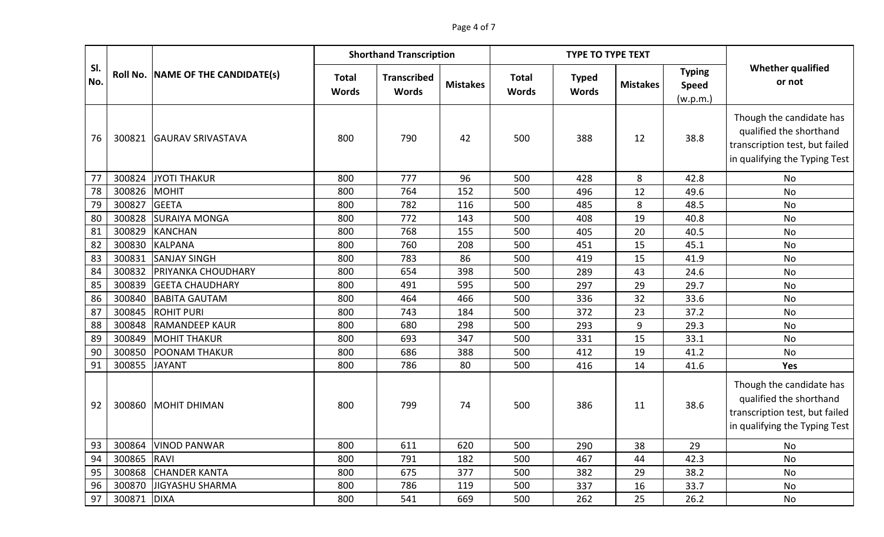|            |             |                                   | <b>Shorthand Transcription</b><br><b>TYPE TO TYPE TEXT</b> |                                    |                 |                              |                              |                 |                                           |                                                                                                                        |
|------------|-------------|-----------------------------------|------------------------------------------------------------|------------------------------------|-----------------|------------------------------|------------------------------|-----------------|-------------------------------------------|------------------------------------------------------------------------------------------------------------------------|
| SI.<br>No. |             | Roll No. NAME OF THE CANDIDATE(s) | <b>Total</b><br><b>Words</b>                               | <b>Transcribed</b><br><b>Words</b> | <b>Mistakes</b> | <b>Total</b><br><b>Words</b> | <b>Typed</b><br><b>Words</b> | <b>Mistakes</b> | <b>Typing</b><br><b>Speed</b><br>(w.p.m.) | <b>Whether qualified</b><br>or not                                                                                     |
| 76         | 300821      | <b>GAURAV SRIVASTAVA</b>          | 800                                                        | 790                                | 42              | 500                          | 388                          | 12              | 38.8                                      | Though the candidate has<br>qualified the shorthand<br>transcription test, but failed<br>in qualifying the Typing Test |
| 77         | 300824      | JYOTI THAKUR                      | 800                                                        | 777                                | 96              | 500                          | 428                          | 8               | 42.8                                      | <b>No</b>                                                                                                              |
| 78         | 300826      | MOHIT                             | 800                                                        | 764                                | 152             | 500                          | 496                          | 12              | 49.6                                      | <b>No</b>                                                                                                              |
| 79         | 300827      | <b>GEETA</b>                      | 800                                                        | 782                                | 116             | 500                          | 485                          | 8               | 48.5                                      | <b>No</b>                                                                                                              |
| 80         | 300828      | <b>SURAIYA MONGA</b>              | 800                                                        | 772                                | 143             | 500                          | 408                          | 19              | 40.8                                      | <b>No</b>                                                                                                              |
| 81         | 300829      | KANCHAN                           | 800                                                        | 768                                | 155             | 500                          | 405                          | 20              | 40.5                                      | No                                                                                                                     |
| 82         | 300830      | <b>KALPANA</b>                    | 800                                                        | 760                                | 208             | 500                          | 451                          | 15              | 45.1                                      | No                                                                                                                     |
| 83         | 300831      | <b>SANJAY SINGH</b>               | 800                                                        | 783                                | 86              | 500                          | 419                          | 15              | 41.9                                      | No                                                                                                                     |
| 84         |             | 300832 PRIYANKA CHOUDHARY         | 800                                                        | 654                                | 398             | 500                          | 289                          | 43              | 24.6                                      | No                                                                                                                     |
| 85         | 300839      | <b>GEETA CHAUDHARY</b>            | 800                                                        | 491                                | 595             | 500                          | 297                          | 29              | 29.7                                      | No                                                                                                                     |
| 86         | 300840      | <b>BABITA GAUTAM</b>              | 800                                                        | 464                                | 466             | 500                          | 336                          | 32              | 33.6                                      | <b>No</b>                                                                                                              |
| 87         | 300845      | <b>ROHIT PURI</b>                 | 800                                                        | 743                                | 184             | 500                          | 372                          | 23              | 37.2                                      | <b>No</b>                                                                                                              |
| 88         | 300848      | <b>RAMANDEEP KAUR</b>             | 800                                                        | 680                                | 298             | 500                          | 293                          | 9               | 29.3                                      | <b>No</b>                                                                                                              |
| 89         | 300849      | <b>MOHIT THAKUR</b>               | 800                                                        | 693                                | 347             | 500                          | 331                          | 15              | 33.1                                      | No                                                                                                                     |
| 90         | 300850      | <b>POONAM THAKUR</b>              | 800                                                        | 686                                | 388             | 500                          | 412                          | 19              | 41.2                                      | No                                                                                                                     |
| 91         | 300855      | <b>JAYANT</b>                     | 800                                                        | 786                                | 80              | 500                          | 416                          | 14              | 41.6                                      | Yes                                                                                                                    |
| 92         |             | 300860 MOHIT DHIMAN               | 800                                                        | 799                                | 74              | 500                          | 386                          | 11              | 38.6                                      | Though the candidate has<br>qualified the shorthand<br>transcription test, but failed<br>in qualifying the Typing Test |
| 93         |             | 300864 VINOD PANWAR               | 800                                                        | 611                                | 620             | 500                          | 290                          | 38              | 29                                        | No                                                                                                                     |
| 94         | 300865 RAVI |                                   | 800                                                        | 791                                | 182             | 500                          | 467                          | 44              | 42.3                                      | No                                                                                                                     |
| 95         |             | 300868 CHANDER KANTA              | 800                                                        | 675                                | 377             | 500                          | 382                          | 29              | 38.2                                      | No                                                                                                                     |
| 96         |             | 300870 JIGYASHU SHARMA            | 800                                                        | 786                                | 119             | 500                          | 337                          | 16              | 33.7                                      | No                                                                                                                     |
| 97         | 300871 DIXA |                                   | 800                                                        | 541                                | 669             | 500                          | 262                          | 25              | 26.2                                      | No                                                                                                                     |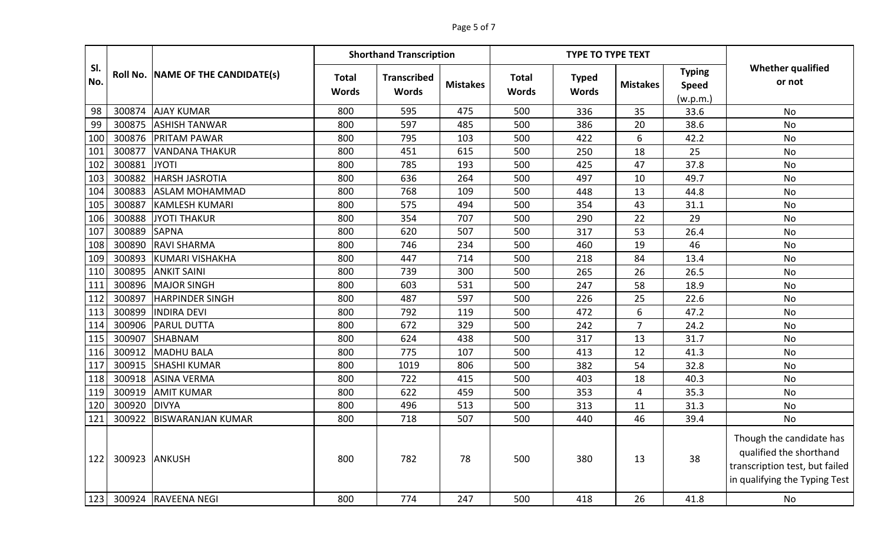|            |        |                                   |                              | <b>Shorthand Transcription</b>     |                 |                              | <b>TYPE TO TYPE TEXT</b>     |                 |                                           |                                                                                                                        |
|------------|--------|-----------------------------------|------------------------------|------------------------------------|-----------------|------------------------------|------------------------------|-----------------|-------------------------------------------|------------------------------------------------------------------------------------------------------------------------|
| SI.<br>No. |        | Roll No. NAME OF THE CANDIDATE(s) | <b>Total</b><br><b>Words</b> | <b>Transcribed</b><br><b>Words</b> | <b>Mistakes</b> | <b>Total</b><br><b>Words</b> | <b>Typed</b><br><b>Words</b> | <b>Mistakes</b> | <b>Typing</b><br><b>Speed</b><br>(w.p.m.) | <b>Whether qualified</b><br>or not                                                                                     |
| 98         | 300874 | <b>AJAY KUMAR</b>                 | 800                          | 595                                | 475             | 500                          | 336                          | 35              | 33.6                                      | <b>No</b>                                                                                                              |
| 99         | 300875 | <b>ASHISH TANWAR</b>              | 800                          | 597                                | 485             | 500                          | 386                          | 20              | 38.6                                      | <b>No</b>                                                                                                              |
| 100        | 300876 | <b>PRITAM PAWAR</b>               | 800                          | 795                                | 103             | 500                          | 422                          | 6               | 42.2                                      | No                                                                                                                     |
| 101        | 300877 | <b>VANDANA THAKUR</b>             | 800                          | 451                                | 615             | 500                          | 250                          | 18              | 25                                        | No                                                                                                                     |
| 102        | 300881 | <b>JYOTI</b>                      | 800                          | 785                                | 193             | 500                          | 425                          | 47              | 37.8                                      | No                                                                                                                     |
| 103        | 300882 | <b>HARSH JASROTIA</b>             | 800                          | 636                                | 264             | 500                          | 497                          | 10              | 49.7                                      | No                                                                                                                     |
| 104        |        | 300883 ASLAM MOHAMMAD             | 800                          | 768                                | 109             | 500                          | 448                          | 13              | 44.8                                      | No                                                                                                                     |
| 105        | 300887 | <b>KAMLESH KUMARI</b>             | 800                          | 575                                | 494             | 500                          | 354                          | 43              | 31.1                                      | No                                                                                                                     |
| 106        | 300888 | JYOTI THAKUR                      | 800                          | 354                                | 707             | 500                          | 290                          | 22              | 29                                        | No                                                                                                                     |
| 107        | 300889 | <b>SAPNA</b>                      | 800                          | 620                                | 507             | 500                          | 317                          | 53              | 26.4                                      | No                                                                                                                     |
| 108        |        | 300890 RAVI SHARMA                | 800                          | 746                                | 234             | 500                          | 460                          | 19              | 46                                        | No                                                                                                                     |
| 109        | 300893 | KUMARI VISHAKHA                   | 800                          | 447                                | 714             | 500                          | 218                          | 84              | 13.4                                      | No                                                                                                                     |
| 110        | 300895 | <b>ANKIT SAINI</b>                | 800                          | 739                                | 300             | 500                          | 265                          | 26              | 26.5                                      | No                                                                                                                     |
| 111        | 300896 | MAJOR SINGH                       | 800                          | 603                                | 531             | 500                          | 247                          | 58              | 18.9                                      | No                                                                                                                     |
| 112        | 300897 | <b>HARPINDER SINGH</b>            | 800                          | 487                                | 597             | 500                          | 226                          | 25              | 22.6                                      | No                                                                                                                     |
| 113        | 300899 | <b>INDIRA DEVI</b>                | 800                          | 792                                | 119             | 500                          | 472                          | 6               | 47.2                                      | <b>No</b>                                                                                                              |
| 114        | 300906 | <b>PARUL DUTTA</b>                | 800                          | 672                                | 329             | 500                          | 242                          | 7               | 24.2                                      | No                                                                                                                     |
| 115        | 300907 | <b>SHABNAM</b>                    | 800                          | 624                                | 438             | 500                          | 317                          | 13              | 31.7                                      | No                                                                                                                     |
| 116        | 300912 | <b>MADHU BALA</b>                 | 800                          | 775                                | 107             | 500                          | 413                          | 12              | 41.3                                      | No                                                                                                                     |
| 117        | 300915 | <b>SHASHI KUMAR</b>               | 800                          | 1019                               | 806             | 500                          | 382                          | 54              | 32.8                                      | No                                                                                                                     |
| 118        | 300918 | <b>ASINA VERMA</b>                | 800                          | 722                                | 415             | 500                          | 403                          | 18              | 40.3                                      | No                                                                                                                     |
| 119        | 300919 | <b>AMIT KUMAR</b>                 | 800                          | 622                                | 459             | 500                          | 353                          | 4               | 35.3                                      | No                                                                                                                     |
| 120        | 300920 | <b>DIVYA</b>                      | 800                          | 496                                | 513             | 500                          | 313                          | 11              | 31.3                                      | No                                                                                                                     |
| 121        | 300922 | <b>BISWARANJAN KUMAR</b>          | 800                          | 718                                | 507             | 500                          | 440                          | 46              | 39.4                                      | No                                                                                                                     |
| 122        |        | 300923 ANKUSH                     | 800                          | 782                                | 78              | 500                          | 380                          | 13              | 38                                        | Though the candidate has<br>qualified the shorthand<br>transcription test, but failed<br>in qualifying the Typing Test |
| 123        |        | 300924 RAVEENA NEGI               | 800                          | 774                                | 247             | 500                          | 418                          | 26              | 41.8                                      | No                                                                                                                     |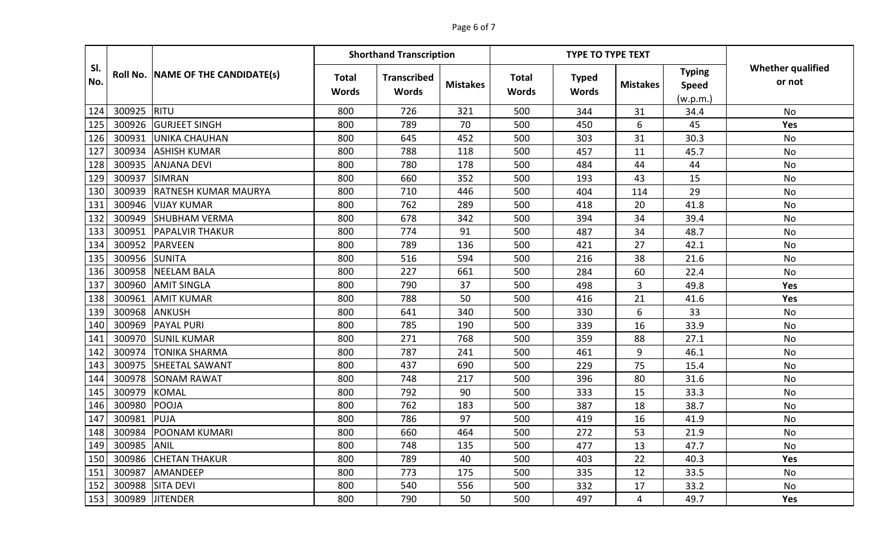## Page 6 of 7

|            |        |                                   |                              | <b>Shorthand Transcription</b>     |                 |                       | <b>TYPE TO TYPE TEXT</b>     |                 |                                           |                                    |
|------------|--------|-----------------------------------|------------------------------|------------------------------------|-----------------|-----------------------|------------------------------|-----------------|-------------------------------------------|------------------------------------|
| SI.<br>No. |        | Roll No. NAME OF THE CANDIDATE(s) | <b>Total</b><br><b>Words</b> | <b>Transcribed</b><br><b>Words</b> | <b>Mistakes</b> | <b>Total</b><br>Words | <b>Typed</b><br><b>Words</b> | <b>Mistakes</b> | <b>Typing</b><br><b>Speed</b><br>(w.p.m.) | <b>Whether qualified</b><br>or not |
| 124        | 300925 | RITU                              | 800                          | 726                                | 321             | 500                   | 344                          | 31              | 34.4                                      | No                                 |
| 125        | 300926 | <b>GURJEET SINGH</b>              | 800                          | 789                                | 70              | 500                   | 450                          | 6               | 45                                        | <b>Yes</b>                         |
| 126        | 300931 | <b>UNIKA CHAUHAN</b>              | 800                          | 645                                | 452             | 500                   | 303                          | 31              | 30.3                                      | No                                 |
| 127        | 300934 | <b>ASHISH KUMAR</b>               | 800                          | 788                                | 118             | 500                   | 457                          | 11              | 45.7                                      | No                                 |
| 128        | 300935 | <b>ANJANA DEVI</b>                | 800                          | 780                                | 178             | 500                   | 484                          | 44              | 44                                        | No                                 |
| 129        | 300937 | <b>SIMRAN</b>                     | 800                          | 660                                | 352             | 500                   | 193                          | 43              | 15                                        | No                                 |
| 130        | 300939 | <b>RATNESH KUMAR MAURYA</b>       | 800                          | 710                                | 446             | 500                   | 404                          | 114             | 29                                        | No                                 |
| 131        | 300946 | <b>VIJAY KUMAR</b>                | 800                          | 762                                | 289             | 500                   | 418                          | 20              | 41.8                                      | No                                 |
| 132        | 300949 | <b>SHUBHAM VERMA</b>              | 800                          | 678                                | 342             | 500                   | 394                          | 34              | 39.4                                      | No                                 |
| 133        | 300951 | <b>PAPALVIR THAKUR</b>            | 800                          | 774                                | 91              | 500                   | 487                          | 34              | 48.7                                      | No                                 |
| 134        | 300952 | <b>PARVEEN</b>                    | 800                          | 789                                | 136             | 500                   | 421                          | 27              | 42.1                                      | No                                 |
| 135        | 300956 | <b>SUNITA</b>                     | 800                          | 516                                | 594             | 500                   | 216                          | 38              | 21.6                                      | <b>No</b>                          |
| 136        | 300958 | <b>NEELAM BALA</b>                | 800                          | 227                                | 661             | 500                   | 284                          | 60              | 22.4                                      | No                                 |
| 137        | 300960 | <b>AMIT SINGLA</b>                | 800                          | 790                                | 37              | 500                   | 498                          | 3               | 49.8                                      | Yes                                |
| 138        | 300961 | <b>AMIT KUMAR</b>                 | 800                          | 788                                | 50              | 500                   | 416                          | 21              | 41.6                                      | <b>Yes</b>                         |
| 139        | 300968 | <b>ANKUSH</b>                     | 800                          | 641                                | 340             | 500                   | 330                          | 6               | 33                                        | <b>No</b>                          |
| 140        | 300969 | <b>PAYAL PURI</b>                 | 800                          | 785                                | 190             | 500                   | 339                          | 16              | 33.9                                      | No                                 |
| 141        | 300970 | <b>SUNIL KUMAR</b>                | 800                          | 271                                | 768             | 500                   | 359                          | 88              | 27.1                                      | No                                 |
| 142        | 300974 | <b>TONIKA SHARMA</b>              | 800                          | 787                                | 241             | 500                   | 461                          | 9               | 46.1                                      | No                                 |
| 143        | 300975 | <b>SHEETAL SAWANT</b>             | 800                          | 437                                | 690             | 500                   | 229                          | 75              | 15.4                                      | No                                 |
| 144        | 300978 | <b>SONAM RAWAT</b>                | 800                          | 748                                | 217             | 500                   | 396                          | 80              | 31.6                                      | No                                 |
| 145        | 300979 | <b>KOMAL</b>                      | 800                          | 792                                | 90              | 500                   | 333                          | 15              | 33.3                                      | No                                 |
| 146        | 300980 | <b>POOJA</b>                      | 800                          | 762                                | 183             | 500                   | 387                          | 18              | 38.7                                      | No                                 |
| 147        | 300981 | PUJA                              | 800                          | 786                                | 97              | 500                   | 419                          | 16              | 41.9                                      | No                                 |
| 148        | 300984 | <b>POONAM KUMARI</b>              | 800                          | 660                                | 464             | 500                   | 272                          | 53              | 21.9                                      | No                                 |
| 149        | 300985 | <b>ANIL</b>                       | 800                          | 748                                | 135             | 500                   | 477                          | 13              | 47.7                                      | No                                 |
| 150        | 300986 | <b>CHETAN THAKUR</b>              | 800                          | 789                                | 40              | 500                   | 403                          | 22              | 40.3                                      | <b>Yes</b>                         |
| 151        | 300987 | <b>AMANDEEP</b>                   | 800                          | 773                                | 175             | 500                   | 335                          | 12              | 33.5                                      | No                                 |
| 152        |        | 300988 SITA DEVI                  | 800                          | 540                                | 556             | 500                   | 332                          | 17              | 33.2                                      | No                                 |
| 153        |        | 300989 JITENDER                   | 800                          | 790                                | 50              | 500                   | 497                          | 4               | 49.7                                      | Yes                                |